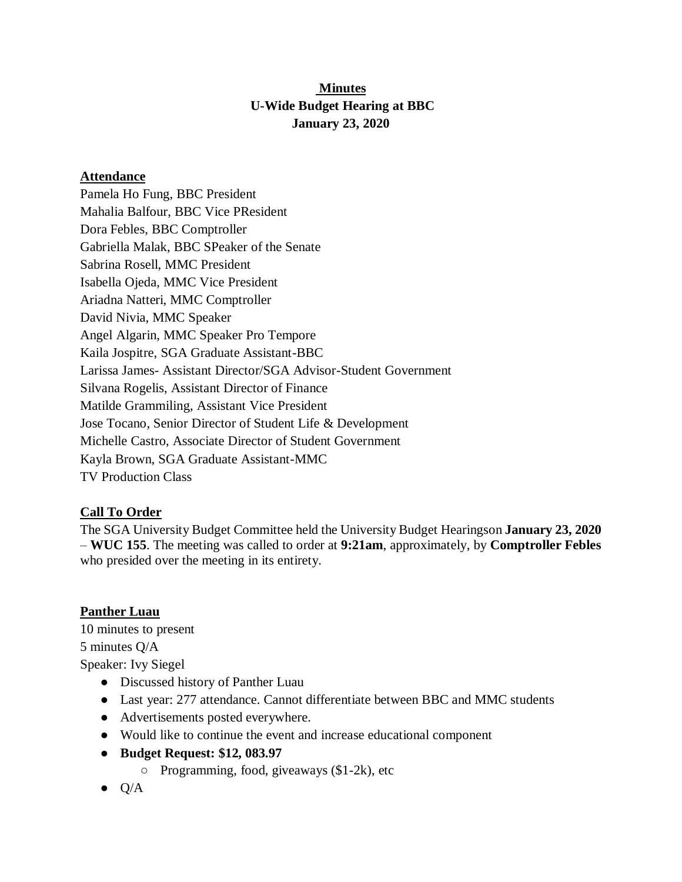# **Minutes U-Wide Budget Hearing at BBC January 23, 2020**

#### **Attendance**

Pamela Ho Fung, BBC President Mahalia Balfour, BBC Vice PResident Dora Febles, BBC Comptroller Gabriella Malak, BBC SPeaker of the Senate Sabrina Rosell, MMC President Isabella Ojeda, MMC Vice President Ariadna Natteri, MMC Comptroller David Nivia, MMC Speaker Angel Algarin, MMC Speaker Pro Tempore Kaila Jospitre, SGA Graduate Assistant-BBC Larissa James- Assistant Director/SGA Advisor-Student Government Silvana Rogelis, Assistant Director of Finance Matilde Grammiling, Assistant Vice President Jose Tocano, Senior Director of Student Life & Development Michelle Castro, Associate Director of Student Government Kayla Brown, SGA Graduate Assistant-MMC TV Production Class

### **Call To Order**

The SGA University Budget Committee held the University Budget Hearingson **January 23, 2020** – **WUC 155**. The meeting was called to order at **9:21am**, approximately, by **Comptroller Febles**  who presided over the meeting in its entirety.

### **Panther Luau**

10 minutes to present 5 minutes Q/A Speaker: Ivy Siegel

- Discussed history of Panther Luau
- Last year: 277 attendance. Cannot differentiate between BBC and MMC students
- Advertisements posted everywhere.
- Would like to continue the event and increase educational component
- **Budget Request: \$12, 083.97**
	- Programming, food, giveaways (\$1-2k), etc
- $\bullet$  Q/A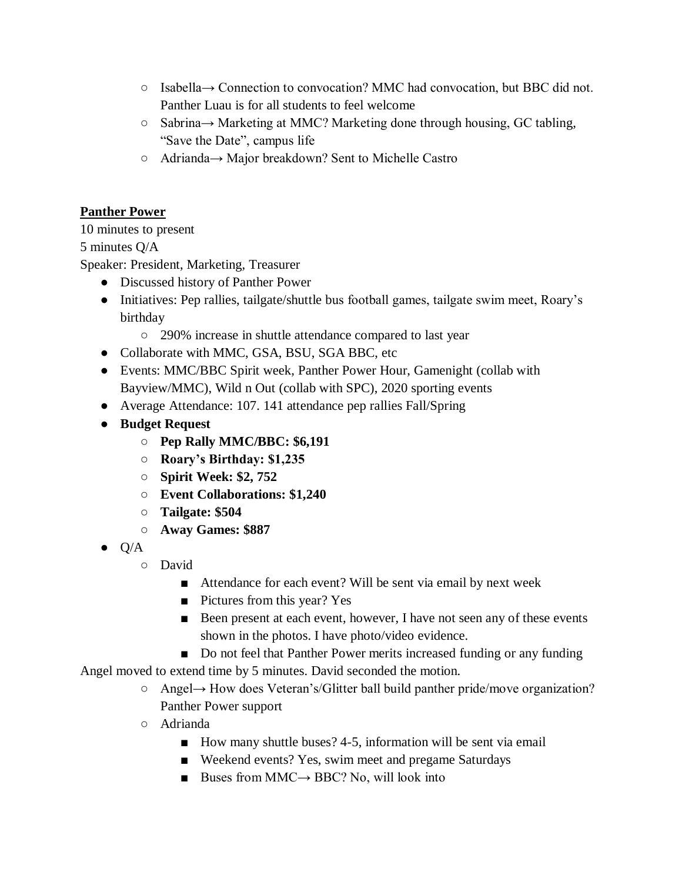- Isabella→ Connection to convocation? MMC had convocation, but BBC did not. Panther Luau is for all students to feel welcome
- Sabrina→ Marketing at MMC? Marketing done through housing, GC tabling, "Save the Date", campus life
- Adrianda→ Major breakdown? Sent to Michelle Castro

# **Panther Power**

10 minutes to present

# 5 minutes Q/A

Speaker: President, Marketing, Treasurer

- Discussed history of Panther Power
- Initiatives: Pep rallies, tailgate/shuttle bus football games, tailgate swim meet, Roary's birthday
	- 290% increase in shuttle attendance compared to last year
- Collaborate with MMC, GSA, BSU, SGA BBC, etc
- Events: MMC/BBC Spirit week, Panther Power Hour, Gamenight (collab with Bayview/MMC), Wild n Out (collab with SPC), 2020 sporting events
- Average Attendance: 107. 141 attendance pep rallies Fall/Spring
- **Budget Request**
	- **Pep Rally MMC/BBC: \$6,191**
	- **Roary's Birthday: \$1,235**
	- **Spirit Week: \$2, 752**
	- **Event Collaborations: \$1,240**
	- **Tailgate: \$504**
	- **Away Games: \$887**
- $\bullet$  Q/A
	- David
		- Attendance for each event? Will be sent via email by next week
		- Pictures from this year? Yes
		- Been present at each event, however, I have not seen any of these events shown in the photos. I have photo/video evidence.
		- Do not feel that Panther Power merits increased funding or any funding

Angel moved to extend time by 5 minutes. David seconded the motion.

- Angel→ How does Veteran's/Glitter ball build panther pride/move organization? Panther Power support
- Adrianda
	- How many shuttle buses? 4-5, information will be sent via email
	- Weekend events? Yes, swim meet and pregame Saturdays
	- Buses from MMC $\rightarrow$  BBC? No, will look into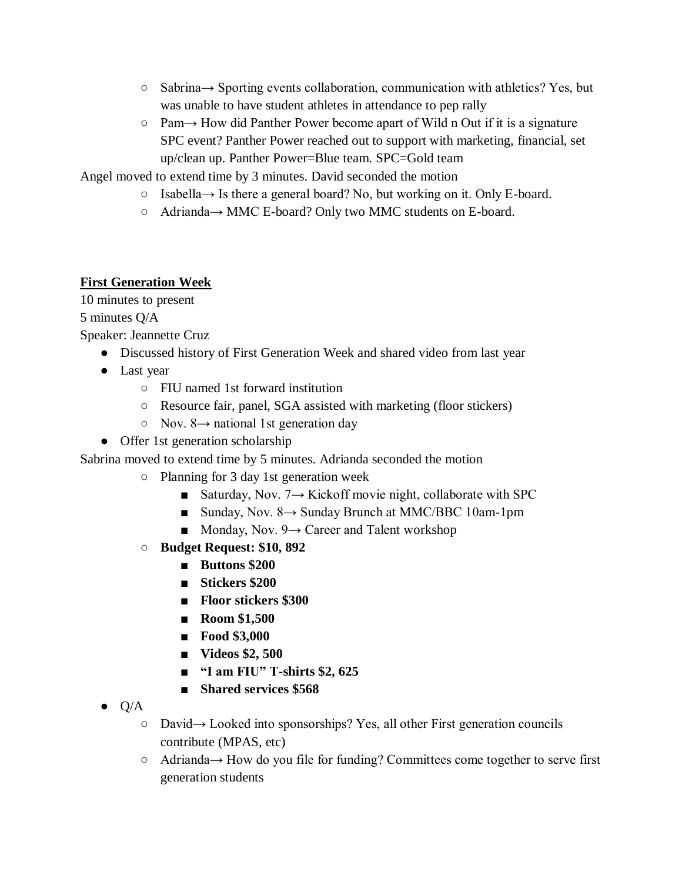- Sabrina→ Sporting events collaboration, communication with athletics? Yes, but was unable to have student athletes in attendance to pep rally
- Pam→ How did Panther Power become apart of Wild n Out if it is a signature SPC event? Panther Power reached out to support with marketing, financial, set up/clean up. Panther Power=Blue team. SPC=Gold team

Angel moved to extend time by 3 minutes. David seconded the motion

- Isabella→ Is there a general board? No, but working on it. Only E-board.
- Adrianda→ MMC E-board? Only two MMC students on E-board.

## **First Generation Week**

10 minutes to present

5 minutes Q/A

Speaker: Jeannette Cruz

- Discussed history of First Generation Week and shared video from last year
- Last year
	- FIU named 1st forward institution
	- Resource fair, panel, SGA assisted with marketing (floor stickers)
	- $\circ$  Nov. 8 $\rightarrow$  national 1st generation day
- Offer 1st generation scholarship

Sabrina moved to extend time by 5 minutes. Adrianda seconded the motion

- Planning for 3 day 1st generation week
	- Saturday, Nov.  $7 \rightarrow$  Kickoff movie night, collaborate with SPC
	- Sunday, Nov. 8→ Sunday Brunch at MMC/BBC 10am-1pm
	- $\blacksquare$  Monday, Nov. 9 $\rightarrow$  Career and Talent workshop
- **Budget Request: \$10, 892**
	- **Buttons \$200**
	- **Stickers \$200**
	- **Floor stickers \$300**
	- **Room \$1,500**
	- **Food \$3,000**
	- **Videos \$2, 500**
	- **"I am FIU" T-shirts \$2, 625**
	- **Shared services \$568**
- $\bullet$  Q/A
	- David→ Looked into sponsorships? Yes, all other First generation councils contribute (MPAS, etc)
	- Adrianda→ How do you file for funding? Committees come together to serve first generation students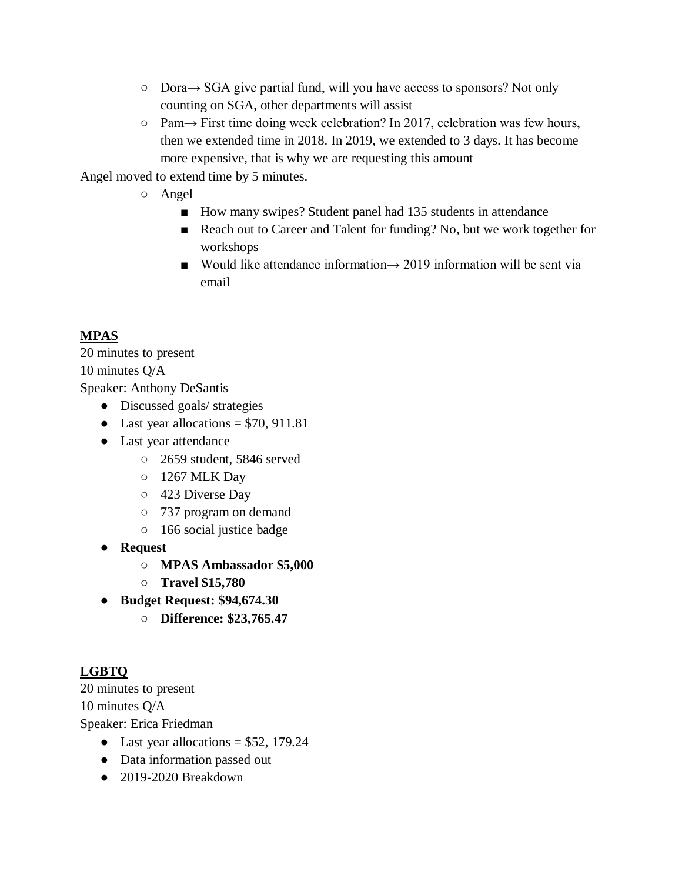- Dora→ SGA give partial fund, will you have access to sponsors? Not only counting on SGA, other departments will assist
- Pam→ First time doing week celebration? In 2017, celebration was few hours, then we extended time in 2018. In 2019, we extended to 3 days. It has become more expensive, that is why we are requesting this amount

Angel moved to extend time by 5 minutes.

- Angel
	- How many swipes? Student panel had 135 students in attendance
	- Reach out to Career and Talent for funding? No, but we work together for workshops
	- Would like attendance information  $\rightarrow$  2019 information will be sent via email

# **MPAS**

20 minutes to present 10 minutes Q/A Speaker: Anthony DeSantis

- Discussed goals/ strategies
- Last year allocations  $= $70, 911.81$
- Last year attendance
	- 2659 student, 5846 served
	- 1267 MLK Day
	- 423 Diverse Day
	- 737 program on demand
	- 166 social justice badge
- **Request**
	- **MPAS Ambassador \$5,000**
	- **Travel \$15,780**
- **Budget Request: \$94,674.30**
	- **Difference: \$23,765.47**

# **LGBTQ**

20 minutes to present 10 minutes Q/A Speaker: Erica Friedman

- Last year allocations  $= $52, 179.24$
- Data information passed out
- 2019-2020 Breakdown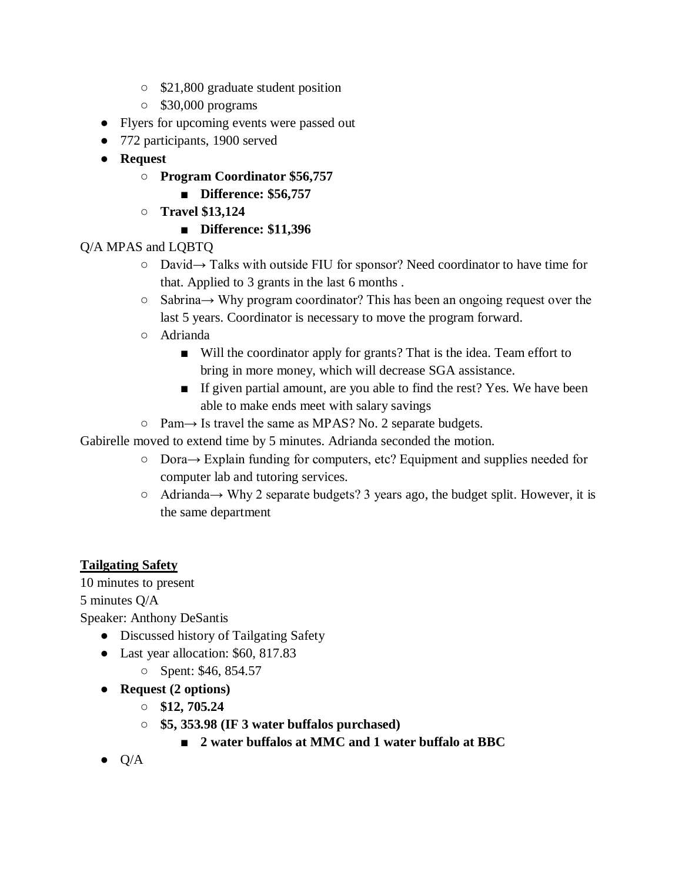- \$21,800 graduate student position
- \$30,000 programs
- Flyers for upcoming events were passed out
- 772 participants, 1900 served
- **Request**
	- **Program Coordinator \$56,757**
		- **Difference: \$56,757**
	- **Travel \$13,124**
		- **Difference: \$11,396**

# Q/A MPAS and LQBTQ

- David→ Talks with outside FIU for sponsor? Need coordinator to have time for that. Applied to 3 grants in the last 6 months .
- Sabrina→ Why program coordinator? This has been an ongoing request over the last 5 years. Coordinator is necessary to move the program forward.
- Adrianda
	- Will the coordinator apply for grants? That is the idea. Team effort to bring in more money, which will decrease SGA assistance.
	- If given partial amount, are you able to find the rest? Yes. We have been able to make ends meet with salary savings
- $\circ$  Pam $\rightarrow$  Is travel the same as MPAS? No. 2 separate budgets.

Gabirelle moved to extend time by 5 minutes. Adrianda seconded the motion.

- Dora→ Explain funding for computers, etc? Equipment and supplies needed for computer lab and tutoring services.
- Adrianda→ Why 2 separate budgets? 3 years ago, the budget split. However, it is the same department

# **Tailgating Safety**

10 minutes to present

5 minutes Q/A

Speaker: Anthony DeSantis

- Discussed history of Tailgating Safety
- Last year allocation: \$60, 817.83
	- Spent: \$46, 854.57
- **Request (2 options)**
	- **\$12, 705.24**
	- **\$5, 353.98 (IF 3 water buffalos purchased)**
		- **2** water buffalos at MMC and 1 water buffalo at BBC
- $\bullet$  Q/A